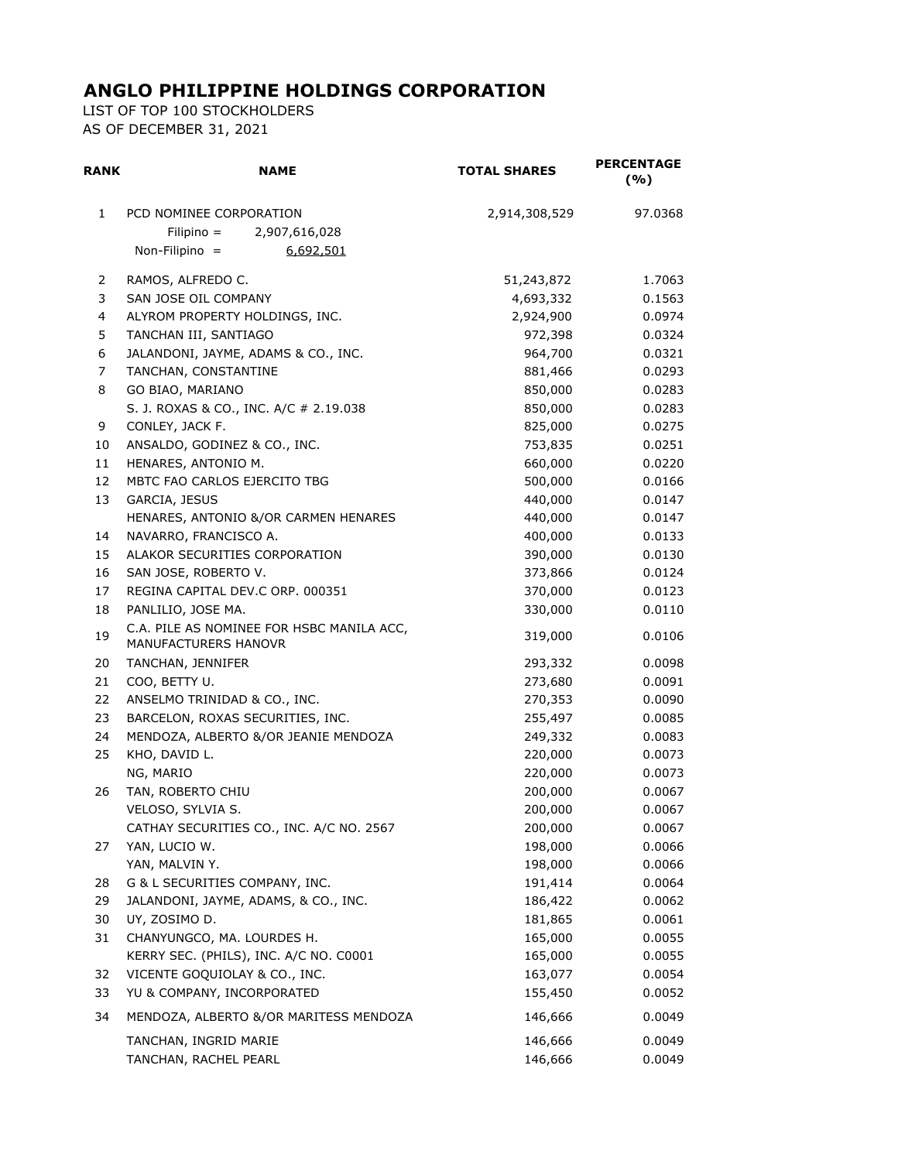## **ANGLO PHILIPPINE HOLDINGS CORPORATION**

LIST OF TOP 100 STOCKHOLDERS AS OF DECEMBER 31, 2021

| RANK                    | <b>NAME</b>                                                                               | <b>TOTAL SHARES</b> | <b>PERCENTAGE</b><br>(%) |
|-------------------------|-------------------------------------------------------------------------------------------|---------------------|--------------------------|
| 1                       | PCD NOMINEE CORPORATION<br>$Filipino =$<br>2,907,616,028<br>Non-Filipino $=$<br>6,692,501 | 2,914,308,529       | 97.0368                  |
| 2                       | RAMOS, ALFREDO C.                                                                         | 51,243,872          | 1.7063                   |
| 3                       | SAN JOSE OIL COMPANY                                                                      | 4,693,332           | 0.1563                   |
| $\overline{\mathbf{4}}$ | ALYROM PROPERTY HOLDINGS, INC.                                                            | 2,924,900           | 0.0974                   |
| 5                       | TANCHAN III, SANTIAGO                                                                     | 972,398             | 0.0324                   |
| 6                       | JALANDONI, JAYME, ADAMS & CO., INC.                                                       | 964,700             | 0.0321                   |
| 7                       | TANCHAN, CONSTANTINE                                                                      | 881,466             | 0.0293                   |
| 8                       | GO BIAO, MARIANO                                                                          | 850,000             | 0.0283                   |
|                         | S. J. ROXAS & CO., INC. A/C # 2.19.038                                                    | 850,000             | 0.0283                   |
| 9                       | CONLEY, JACK F.                                                                           | 825,000             | 0.0275                   |
| 10                      | ANSALDO, GODINEZ & CO., INC.                                                              | 753,835             | 0.0251                   |
| 11                      | HENARES, ANTONIO M.                                                                       | 660,000             | 0.0220                   |
| 12                      | MBTC FAO CARLOS EJERCITO TBG                                                              | 500,000             | 0.0166                   |
| 13                      | GARCIA, JESUS                                                                             | 440,000             | 0.0147                   |
|                         | HENARES, ANTONIO &/OR CARMEN HENARES                                                      | 440,000             | 0.0147                   |
| 14                      | NAVARRO, FRANCISCO A.                                                                     | 400,000             | 0.0133                   |
| 15                      | ALAKOR SECURITIES CORPORATION                                                             | 390,000             | 0.0130                   |
| 16                      | SAN JOSE, ROBERTO V.                                                                      | 373,866             | 0.0124                   |
| 17                      | REGINA CAPITAL DEV C ORP. 000351                                                          | 370,000             | 0.0123                   |
| 18<br>19                | PANLILIO, JOSE MA.<br>C.A. PILE AS NOMINEE FOR HSBC MANILA ACC,<br>MANUFACTURERS HANOVR   | 330,000<br>319,000  | 0.0110<br>0.0106         |
| 20                      | TANCHAN, JENNIFER                                                                         | 293,332             | 0.0098                   |
| 21                      | COO, BETTY U.                                                                             | 273,680             | 0.0091                   |
| 22                      | ANSELMO TRINIDAD & CO., INC.                                                              | 270,353             | 0.0090                   |
| 23                      | BARCELON, ROXAS SECURITIES, INC.                                                          | 255,497             | 0.0085                   |
| 24                      | MENDOZA, ALBERTO &/OR JEANIE MENDOZA                                                      | 249,332             | 0.0083                   |
| 25                      | KHO, DAVID L.                                                                             | 220,000             | 0.0073                   |
|                         | NG, MARIO                                                                                 | 220,000             | 0.0073                   |
| 26                      | TAN, ROBERTO CHIU                                                                         | 200,000             | 0.0067                   |
|                         | VELOSO, SYLVIA S.                                                                         | 200,000             | 0.0067                   |
|                         | CATHAY SECURITIES CO., INC. A/C NO. 2567                                                  | 200,000             | 0.0067                   |
| 27                      | YAN, LUCIO W.                                                                             | 198,000             | 0.0066                   |
|                         | YAN, MALVIN Y.                                                                            | 198,000             | 0.0066                   |
| 28                      | G & L SECURITIES COMPANY, INC.                                                            | 191,414             | 0.0064                   |
| 29                      | JALANDONI, JAYME, ADAMS, & CO., INC.                                                      | 186,422             | 0.0062                   |
| 30                      | UY, ZOSIMO D.                                                                             | 181,865             | 0.0061                   |
| 31                      | CHANYUNGCO, MA. LOURDES H.                                                                | 165,000             | 0.0055                   |
|                         | KERRY SEC. (PHILS), INC. A/C NO. C0001                                                    | 165,000             | 0.0055                   |
| 32                      | VICENTE GOQUIOLAY & CO., INC.                                                             | 163,077             | 0.0054                   |
| 33                      | YU & COMPANY, INCORPORATED                                                                | 155,450             | 0.0052                   |
| 34                      | MENDOZA, ALBERTO &/OR MARITESS MENDOZA                                                    | 146,666             | 0.0049                   |
|                         | TANCHAN, INGRID MARIE                                                                     | 146,666             | 0.0049                   |
|                         | TANCHAN, RACHEL PEARL                                                                     | 146,666             | 0.0049                   |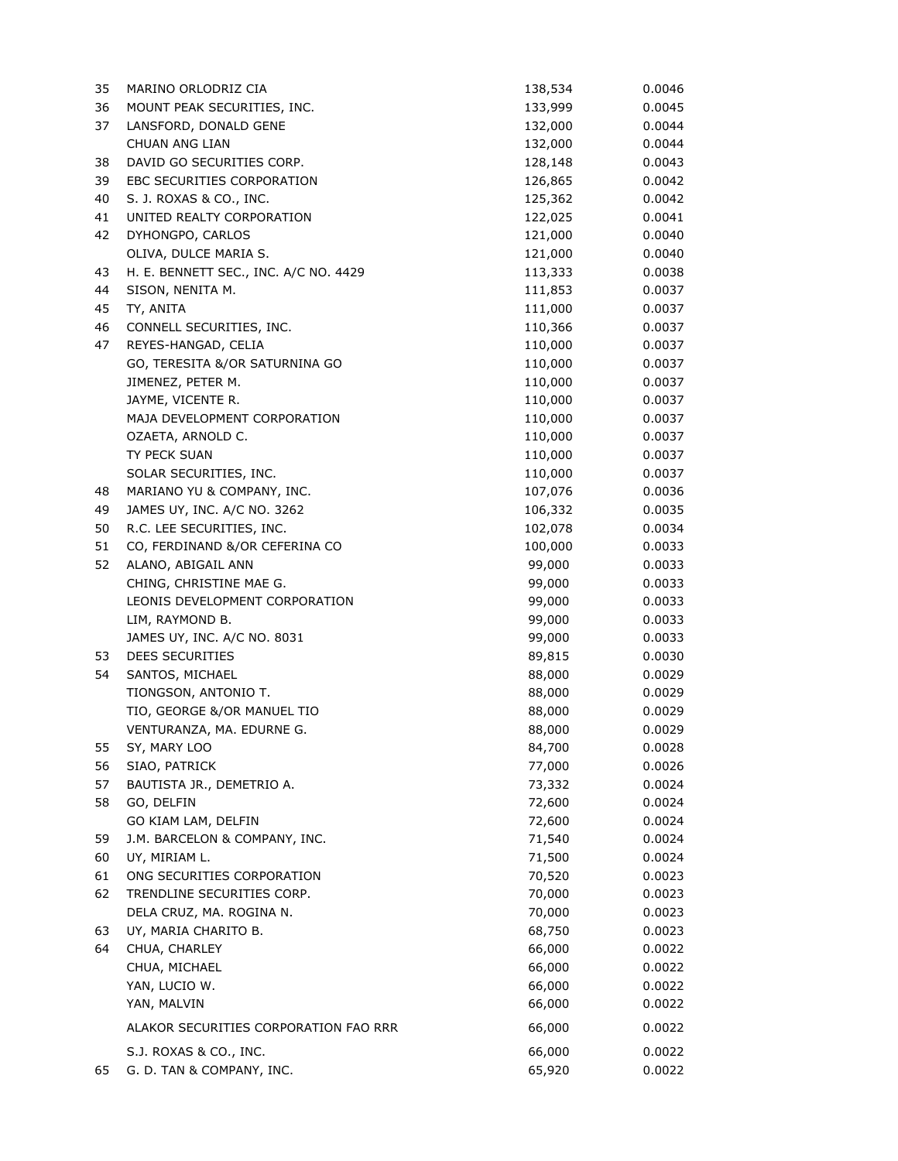| 35 | MARINO ORLODRIZ CIA                         | 138,534          | 0.0046           |
|----|---------------------------------------------|------------------|------------------|
| 36 | MOUNT PEAK SECURITIES, INC.                 | 133,999          | 0.0045           |
| 37 | LANSFORD, DONALD GENE                       | 132,000          | 0.0044           |
|    | CHUAN ANG LIAN                              | 132,000          | 0.0044           |
| 38 | DAVID GO SECURITIES CORP.                   | 128,148          | 0.0043           |
| 39 | EBC SECURITIES CORPORATION                  | 126,865          | 0.0042           |
| 40 | S. J. ROXAS & CO., INC.                     | 125,362          | 0.0042           |
| 41 | UNITED REALTY CORPORATION                   | 122,025          | 0.0041           |
| 42 | DYHONGPO, CARLOS                            | 121,000          | 0.0040           |
|    | OLIVA, DULCE MARIA S.                       | 121,000          | 0.0040           |
| 43 | H. E. BENNETT SEC., INC. A/C NO. 4429       | 113,333          | 0.0038           |
| 44 | SISON, NENITA M.                            | 111,853          | 0.0037           |
| 45 | TY, ANITA                                   | 111,000          | 0.0037           |
| 46 | CONNELL SECURITIES, INC.                    | 110,366          | 0.0037           |
| 47 | REYES-HANGAD, CELIA                         | 110,000          | 0.0037           |
|    | GO, TERESITA &/OR SATURNINA GO              | 110,000          | 0.0037           |
|    | JIMENEZ, PETER M.                           | 110,000          | 0.0037           |
|    | JAYME, VICENTE R.                           | 110,000          | 0.0037           |
|    | MAJA DEVELOPMENT CORPORATION                | 110,000          | 0.0037           |
|    | OZAETA, ARNOLD C.                           | 110,000          | 0.0037           |
|    | TY PECK SUAN                                | 110,000          | 0.0037           |
|    | SOLAR SECURITIES, INC.                      | 110,000          | 0.0037           |
| 48 | MARIANO YU & COMPANY, INC.                  | 107,076          | 0.0036           |
| 49 | JAMES UY, INC. A/C NO. 3262                 | 106,332          | 0.0035           |
| 50 | R.C. LEE SECURITIES, INC.                   | 102,078          | 0.0034           |
| 51 | CO, FERDINAND &/OR CEFERINA CO              | 100,000          | 0.0033           |
| 52 | ALANO, ABIGAIL ANN                          | 99,000           | 0.0033           |
|    | CHING, CHRISTINE MAE G.                     | 99,000           | 0.0033           |
|    | LEONIS DEVELOPMENT CORPORATION              | 99,000           | 0.0033           |
|    | LIM, RAYMOND B.                             | 99,000           | 0.0033           |
|    | JAMES UY, INC. A/C NO. 8031                 | 99,000           | 0.0033           |
| 53 | <b>DEES SECURITIES</b>                      | 89,815           | 0.0030           |
| 54 | SANTOS, MICHAEL                             | 88,000           | 0.0029           |
|    | TIONGSON, ANTONIO T.                        | 88,000           | 0.0029           |
|    | TIO, GEORGE &/OR MANUEL TIO                 | 88,000           | 0.0029           |
|    | VENTURANZA, MA. EDURNE G.                   | 88,000           | 0.0029           |
| 55 | SY, MARY LOO                                | 84,700           | 0.0028           |
| 56 | SIAO, PATRICK                               | 77,000           |                  |
| 57 | BAUTISTA JR., DEMETRIO A.                   | 73,332           | 0.0026<br>0.0024 |
| 58 | GO, DELFIN                                  | 72,600           | 0.0024           |
|    | GO KIAM LAM, DELFIN                         | 72,600           | 0.0024           |
| 59 |                                             |                  |                  |
| 60 | J.M. BARCELON & COMPANY, INC.               | 71,540           | 0.0024           |
| 61 | UY, MIRIAM L.<br>ONG SECURITIES CORPORATION | 71,500<br>70,520 | 0.0024<br>0.0023 |
| 62 | TRENDLINE SECURITIES CORP.                  | 70,000           |                  |
|    |                                             |                  | 0.0023           |
| 63 | DELA CRUZ, MA. ROGINA N.                    | 70,000           | 0.0023           |
| 64 | UY, MARIA CHARITO B.                        | 68,750           | 0.0023           |
|    | CHUA, CHARLEY                               | 66,000           | 0.0022           |
|    | CHUA, MICHAEL                               | 66,000           | 0.0022           |
|    | YAN, LUCIO W.                               | 66,000           | 0.0022           |
|    | YAN, MALVIN                                 | 66,000           | 0.0022           |
|    | ALAKOR SECURITIES CORPORATION FAO RRR       | 66,000           | 0.0022           |
|    | S.J. ROXAS & CO., INC.                      | 66,000           | 0.0022           |
| 65 | G. D. TAN & COMPANY, INC.                   | 65,920           | 0.0022           |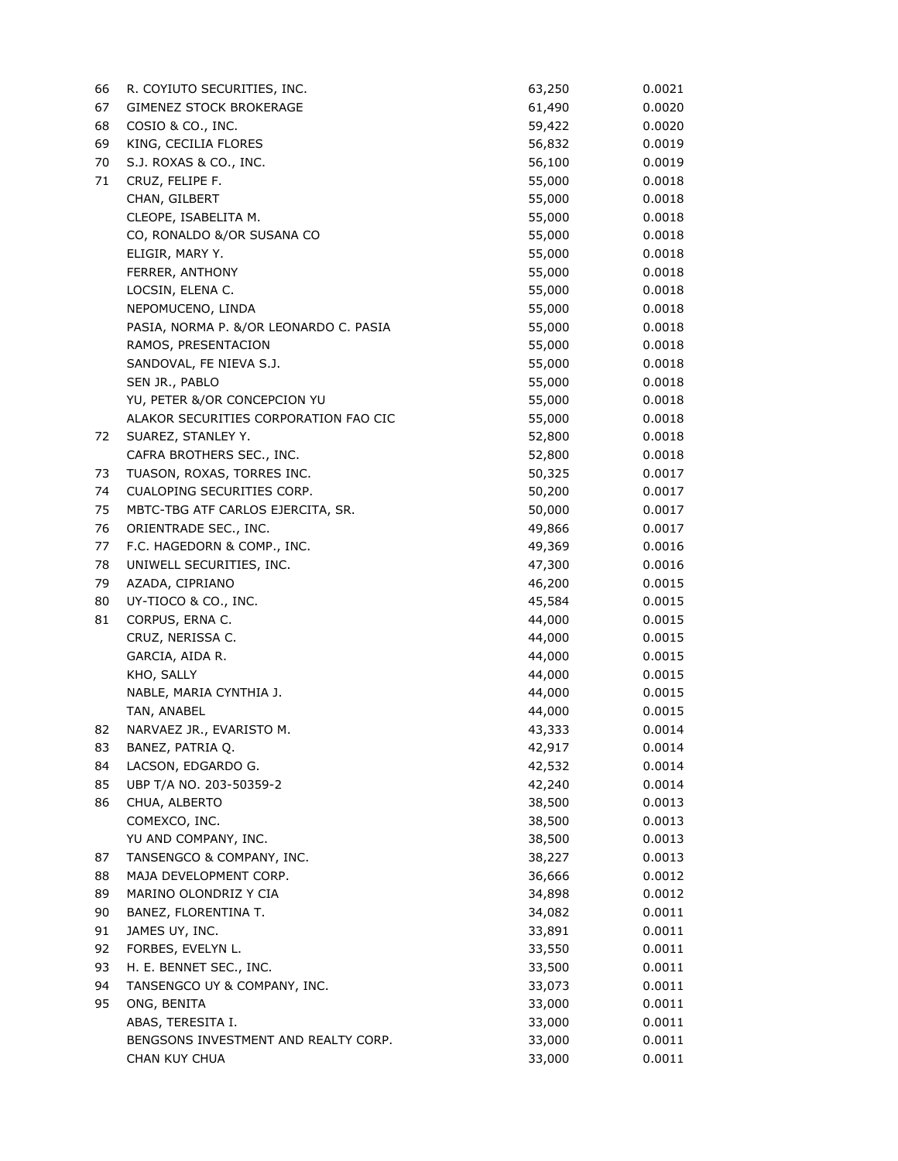| 66 | R. COYIUTO SECURITIES, INC.            | 63,250 | 0.0021 |
|----|----------------------------------------|--------|--------|
| 67 | GIMENEZ STOCK BROKERAGE                | 61,490 | 0.0020 |
| 68 | COSIO & CO., INC.                      | 59,422 | 0.0020 |
| 69 | KING, CECILIA FLORES                   | 56,832 | 0.0019 |
| 70 | S.J. ROXAS & CO., INC.                 | 56,100 | 0.0019 |
| 71 | CRUZ, FELIPE F.                        | 55,000 | 0.0018 |
|    | CHAN, GILBERT                          | 55,000 | 0.0018 |
|    | CLEOPE, ISABELITA M.                   | 55,000 | 0.0018 |
|    | CO, RONALDO &/OR SUSANA CO             | 55,000 | 0.0018 |
|    | ELIGIR, MARY Y.                        | 55,000 | 0.0018 |
|    | FERRER, ANTHONY                        | 55,000 | 0.0018 |
|    | LOCSIN, ELENA C.                       | 55,000 | 0.0018 |
|    | NEPOMUCENO, LINDA                      | 55,000 | 0.0018 |
|    | PASIA, NORMA P. &/OR LEONARDO C. PASIA | 55,000 | 0.0018 |
|    | RAMOS, PRESENTACION                    | 55,000 | 0.0018 |
|    | SANDOVAL, FE NIEVA S.J.                | 55,000 | 0.0018 |
|    | SEN JR., PABLO                         | 55,000 | 0.0018 |
|    | YU, PETER &/OR CONCEPCION YU           | 55,000 | 0.0018 |
|    | ALAKOR SECURITIES CORPORATION FAO CIC  | 55,000 | 0.0018 |
| 72 | SUAREZ, STANLEY Y.                     | 52,800 | 0.0018 |
|    | CAFRA BROTHERS SEC., INC.              | 52,800 | 0.0018 |
| 73 | TUASON, ROXAS, TORRES INC.             | 50,325 | 0.0017 |
| 74 | CUALOPING SECURITIES CORP.             | 50,200 | 0.0017 |
| 75 | MBTC-TBG ATF CARLOS EJERCITA, SR.      | 50,000 | 0.0017 |
| 76 | ORIENTRADE SEC., INC.                  | 49,866 | 0.0017 |
| 77 | F.C. HAGEDORN & COMP., INC.            | 49,369 | 0.0016 |
| 78 | UNIWELL SECURITIES, INC.               | 47,300 | 0.0016 |
| 79 | AZADA, CIPRIANO                        | 46,200 | 0.0015 |
| 80 | UY-TIOCO & CO., INC.                   | 45,584 | 0.0015 |
| 81 | CORPUS, ERNA C.                        | 44,000 | 0.0015 |
|    | CRUZ, NERISSA C.                       | 44,000 | 0.0015 |
|    | GARCIA, AIDA R.                        | 44,000 | 0.0015 |
|    | KHO, SALLY                             | 44,000 | 0.0015 |
|    | NABLE, MARIA CYNTHIA J.                | 44,000 | 0.0015 |
|    | TAN, ANABEL                            | 44,000 | 0.0015 |
| 82 | NARVAEZ JR., EVARISTO M.               | 43,333 | 0.0014 |
| 83 | BANEZ, PATRIA Q.                       | 42,917 | 0.0014 |
| 84 | LACSON, EDGARDO G.                     | 42,532 | 0.0014 |
| 85 | UBP T/A NO. 203-50359-2                | 42,240 | 0.0014 |
| 86 | CHUA, ALBERTO                          | 38,500 | 0.0013 |
|    | COMEXCO, INC.                          | 38,500 | 0.0013 |
|    | YU AND COMPANY, INC.                   | 38,500 | 0.0013 |
| 87 | TANSENGCO & COMPANY, INC.              | 38,227 | 0.0013 |
| 88 | MAJA DEVELOPMENT CORP.                 | 36,666 | 0.0012 |
| 89 | MARINO OLONDRIZ Y CIA                  | 34,898 | 0.0012 |
| 90 | BANEZ, FLORENTINA T.                   | 34,082 | 0.0011 |
| 91 | JAMES UY, INC.                         | 33,891 | 0.0011 |
| 92 | FORBES, EVELYN L.                      | 33,550 | 0.0011 |
| 93 | H. E. BENNET SEC., INC.                | 33,500 | 0.0011 |
| 94 | TANSENGCO UY & COMPANY, INC.           | 33,073 | 0.0011 |
| 95 | ONG, BENITA                            | 33,000 | 0.0011 |
|    | ABAS, TERESITA I.                      | 33,000 | 0.0011 |
|    | BENGSONS INVESTMENT AND REALTY CORP.   | 33,000 | 0.0011 |
|    | CHAN KUY CHUA                          | 33,000 | 0.0011 |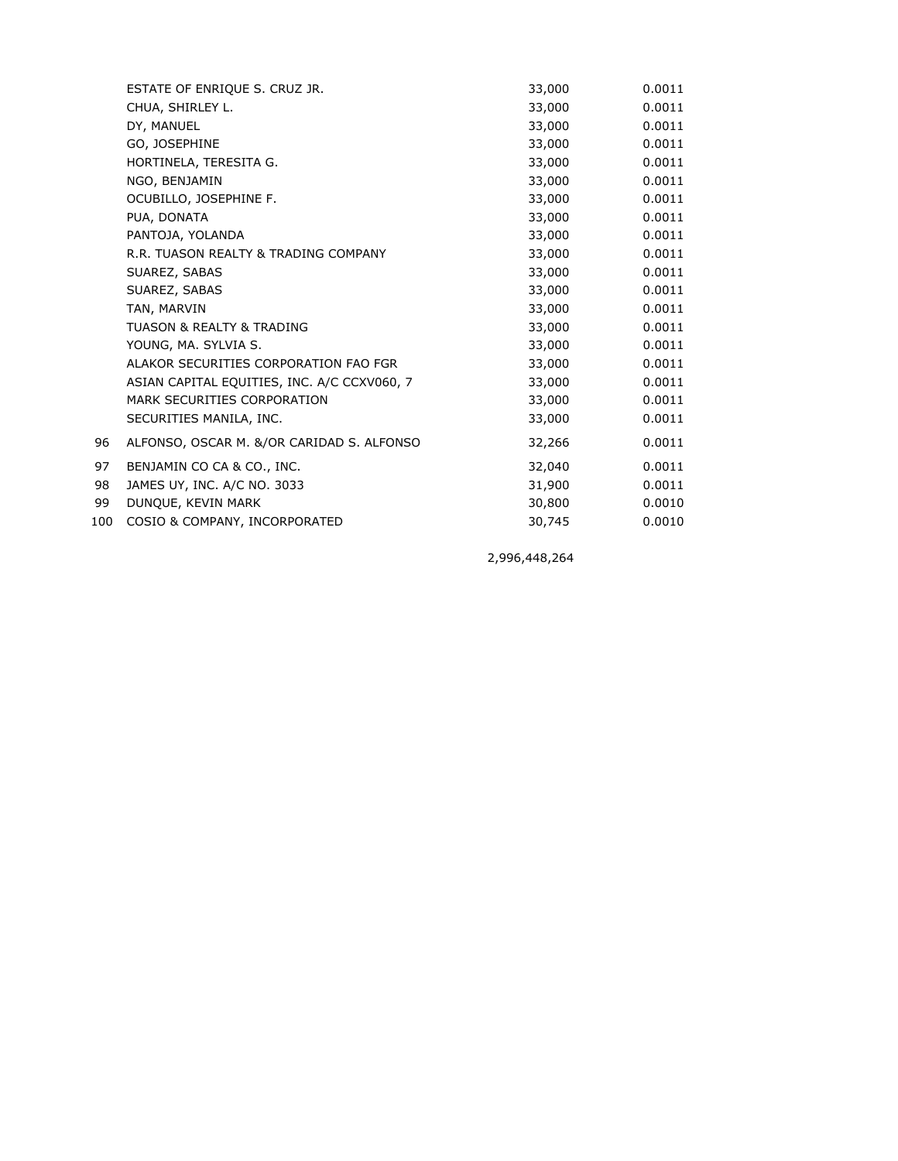|     | ESTATE OF ENRIQUE S. CRUZ JR.               | 33,000 | 0.0011 |
|-----|---------------------------------------------|--------|--------|
|     | CHUA, SHIRLEY L.                            | 33,000 | 0.0011 |
|     | DY, MANUEL                                  | 33,000 | 0.0011 |
|     | GO, JOSEPHINE                               | 33,000 | 0.0011 |
|     | HORTINELA, TERESITA G.                      | 33,000 | 0.0011 |
|     | NGO, BENJAMIN                               | 33,000 | 0.0011 |
|     | OCUBILLO, JOSEPHINE F.                      | 33,000 | 0.0011 |
|     | PUA, DONATA                                 | 33,000 | 0.0011 |
|     | PANTOJA, YOLANDA                            | 33,000 | 0.0011 |
|     | R.R. TUASON REALTY & TRADING COMPANY        | 33,000 | 0.0011 |
|     | SUAREZ, SABAS                               | 33,000 | 0.0011 |
|     | SUAREZ, SABAS                               | 33,000 | 0.0011 |
|     | TAN, MARVIN                                 | 33,000 | 0.0011 |
|     | <b>TUASON &amp; REALTY &amp; TRADING</b>    | 33,000 | 0.0011 |
|     | YOUNG, MA. SYLVIA S.                        | 33,000 | 0.0011 |
|     | ALAKOR SECURITIES CORPORATION FAO FGR       | 33,000 | 0.0011 |
|     | ASIAN CAPITAL EQUITIES, INC. A/C CCXV060, 7 | 33,000 | 0.0011 |
|     | MARK SECURITIES CORPORATION                 | 33,000 | 0.0011 |
|     | SECURITIES MANILA, INC.                     | 33,000 | 0.0011 |
| 96  | ALFONSO, OSCAR M. &/OR CARIDAD S. ALFONSO   | 32,266 | 0.0011 |
| 97  | BENJAMIN CO CA & CO., INC.                  | 32,040 | 0.0011 |
| 98  | JAMES UY, INC. A/C NO. 3033                 | 31,900 | 0.0011 |
| 99  | DUNQUE, KEVIN MARK                          | 30,800 | 0.0010 |
| 100 | COSIO & COMPANY, INCORPORATED               | 30,745 | 0.0010 |
|     |                                             |        |        |

2,996,448,264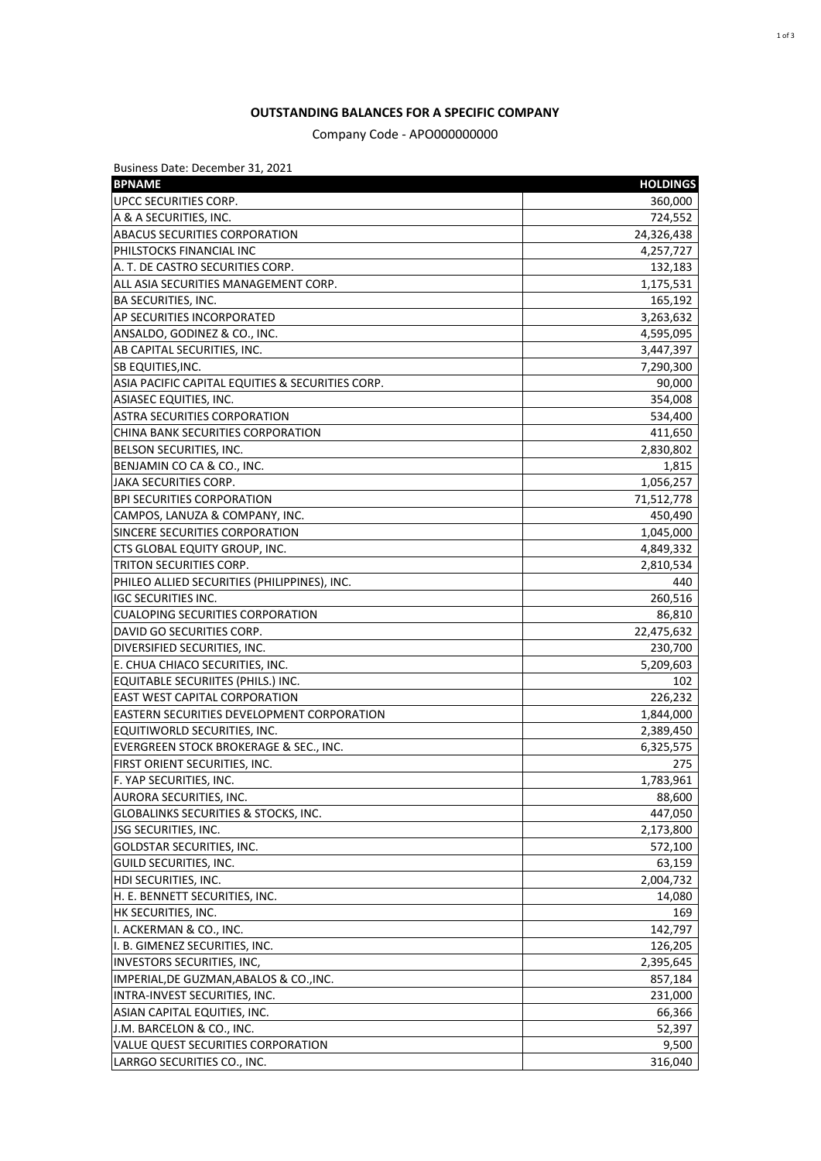## **OUTSTANDING BALANCES FOR A SPECIFIC COMPANY**

Company Code - APO000000000

| Business Date: December 31, 2021                 |                 |
|--------------------------------------------------|-----------------|
| <b>BPNAME</b>                                    | <b>HOLDINGS</b> |
| UPCC SECURITIES CORP.                            | 360,000         |
| A & A SECURITIES, INC.                           | 724,552         |
| ABACUS SECURITIES CORPORATION                    | 24,326,438      |
| PHILSTOCKS FINANCIAL INC                         | 4,257,727       |
| A. T. DE CASTRO SECURITIES CORP.                 | 132,183         |
| ALL ASIA SECURITIES MANAGEMENT CORP.             | 1,175,531       |
| <b>BA SECURITIES, INC.</b>                       | 165,192         |
| AP SECURITIES INCORPORATED                       | 3,263,632       |
| ANSALDO, GODINEZ & CO., INC.                     | 4,595,095       |
| AB CAPITAL SECURITIES, INC.                      | 3,447,397       |
| SB EQUITIES, INC.                                | 7,290,300       |
| ASIA PACIFIC CAPITAL EQUITIES & SECURITIES CORP. | 90,000          |
| ASIASEC EQUITIES, INC.                           | 354,008         |
| ASTRA SECURITIES CORPORATION                     | 534,400         |
| CHINA BANK SECURITIES CORPORATION                | 411,650         |
| BELSON SECURITIES, INC.                          | 2,830,802       |
| BENJAMIN CO CA & CO., INC.                       | 1,815           |
| JAKA SECURITIES CORP.                            | 1,056,257       |
| <b>BPI SECURITIES CORPORATION</b>                | 71,512,778      |
| CAMPOS, LANUZA & COMPANY, INC.                   | 450,490         |
| SINCERE SECURITIES CORPORATION                   | 1,045,000       |
| CTS GLOBAL EQUITY GROUP, INC.                    | 4,849,332       |
| TRITON SECURITIES CORP.                          | 2,810,534       |
| PHILEO ALLIED SECURITIES (PHILIPPINES), INC.     | 440             |
| <b>IGC SECURITIES INC.</b>                       | 260,516         |
| <b>CUALOPING SECURITIES CORPORATION</b>          | 86,810          |
| DAVID GO SECURITIES CORP.                        | 22,475,632      |
| DIVERSIFIED SECURITIES, INC.                     | 230,700         |
| E. CHUA CHIACO SECURITIES, INC.                  | 5,209,603       |
| EQUITABLE SECURIITES (PHILS.) INC.               | 102             |
| <b>EAST WEST CAPITAL CORPORATION</b>             | 226,232         |
| EASTERN SECURITIES DEVELOPMENT CORPORATION       | 1,844,000       |
| EQUITIWORLD SECURITIES, INC.                     | 2,389,450       |
| EVERGREEN STOCK BROKERAGE & SEC., INC.           |                 |
|                                                  | 6,325,575       |
| FIRST ORIENT SECURITIES, INC.                    | 275             |
| F. YAP SECURITIES, INC.                          | 1,783,961       |
| AURORA SECURITIES, INC.                          | 88,600          |
| GLOBALINKS SECURITIES & STOCKS, INC.             | 447,050         |
| JSG SECURITIES, INC.                             | 2,173,800       |
| GOLDSTAR SECURITIES, INC.                        | 572,100         |
| GUILD SECURITIES, INC.                           | 63,159          |
| HDI SECURITIES, INC.                             | 2,004,732       |
| H. E. BENNETT SECURITIES, INC.                   | 14,080          |
| HK SECURITIES, INC.                              | 169             |
| I. ACKERMAN & CO., INC.                          | 142,797         |
| I. B. GIMENEZ SECURITIES, INC.                   | 126,205         |
| INVESTORS SECURITIES, INC,                       | 2,395,645       |
| IMPERIAL, DE GUZMAN, ABALOS & CO., INC.          | 857,184         |
| INTRA-INVEST SECURITIES, INC.                    | 231,000         |
| ASIAN CAPITAL EQUITIES, INC.                     | 66,366          |
| J.M. BARCELON & CO., INC.                        | 52,397          |
| VALUE QUEST SECURITIES CORPORATION               | 9,500           |
| LARRGO SECURITIES CO., INC.                      | 316,040         |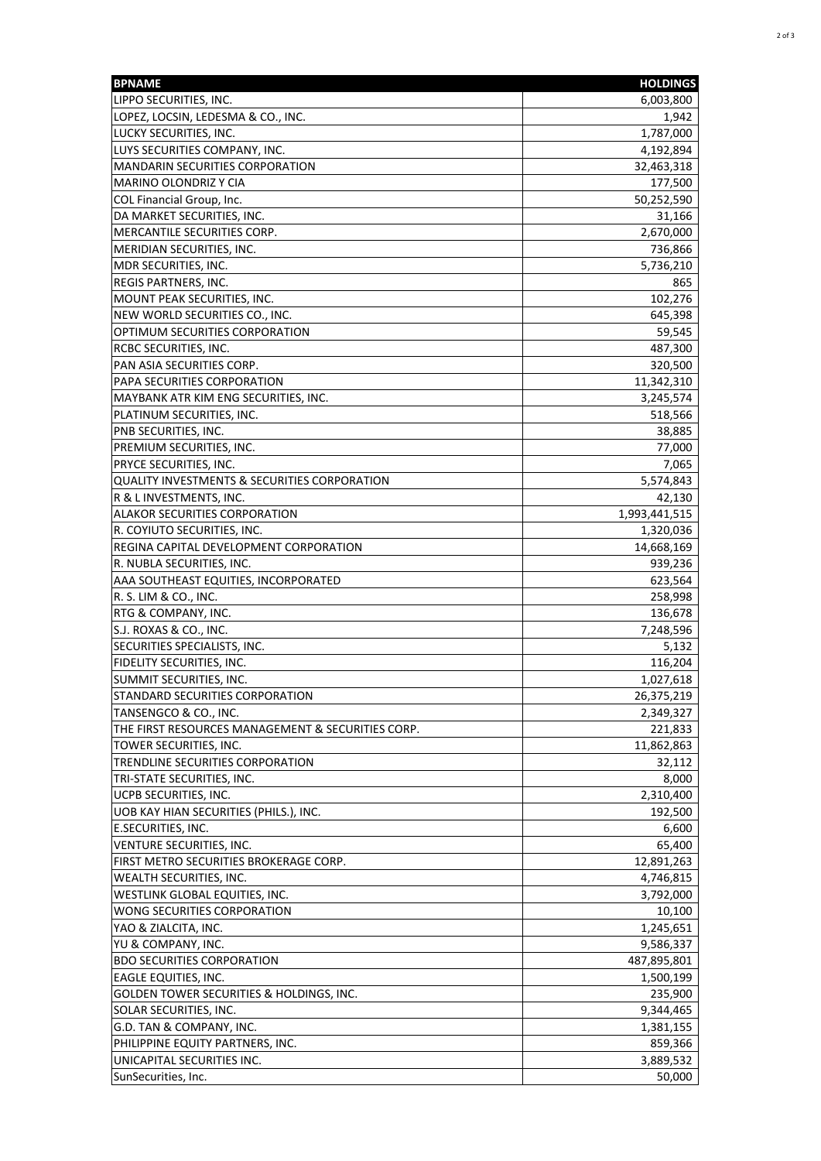| <b>BPNAME</b>                                           | <b>HOLDINGS</b> |
|---------------------------------------------------------|-----------------|
| LIPPO SECURITIES, INC.                                  | 6,003,800       |
| LOPEZ, LOCSIN, LEDESMA & CO., INC.                      | 1,942           |
| LUCKY SECURITIES, INC.                                  | 1,787,000       |
| LUYS SECURITIES COMPANY, INC.                           | 4,192,894       |
| <b>MANDARIN SECURITIES CORPORATION</b>                  | 32,463,318      |
| MARINO OLONDRIZ Y CIA                                   | 177,500         |
| COL Financial Group, Inc.                               | 50,252,590      |
| DA MARKET SECURITIES, INC.                              | 31,166          |
| MERCANTILE SECURITIES CORP.                             | 2,670,000       |
| MERIDIAN SECURITIES, INC.                               | 736,866         |
| MDR SECURITIES, INC.                                    | 5,736,210       |
| REGIS PARTNERS, INC.                                    | 865             |
| MOUNT PEAK SECURITIES, INC.                             | 102,276         |
| NEW WORLD SECURITIES CO., INC.                          | 645,398         |
| OPTIMUM SECURITIES CORPORATION                          | 59,545          |
| RCBC SECURITIES, INC.                                   | 487,300         |
| PAN ASIA SECURITIES CORP.                               | 320,500         |
| PAPA SECURITIES CORPORATION                             | 11,342,310      |
| MAYBANK ATR KIM ENG SECURITIES, INC.                    | 3,245,574       |
| PLATINUM SECURITIES, INC.                               | 518,566         |
| PNB SECURITIES, INC.                                    | 38,885          |
| PREMIUM SECURITIES, INC.                                | 77,000          |
| PRYCE SECURITIES, INC.                                  | 7,065           |
| <b>QUALITY INVESTMENTS &amp; SECURITIES CORPORATION</b> |                 |
|                                                         | 5,574,843       |
| R & L INVESTMENTS, INC.                                 | 42,130          |
| ALAKOR SECURITIES CORPORATION                           | 1,993,441,515   |
| R. COYIUTO SECURITIES, INC.                             | 1,320,036       |
| REGINA CAPITAL DEVELOPMENT CORPORATION                  | 14,668,169      |
| R. NUBLA SECURITIES, INC.                               | 939,236         |
| AAA SOUTHEAST EQUITIES, INCORPORATED                    | 623,564         |
| R. S. LIM & CO., INC.                                   | 258,998         |
| RTG & COMPANY, INC.                                     | 136,678         |
| S.J. ROXAS & CO., INC.                                  | 7,248,596       |
| SECURITIES SPECIALISTS, INC.                            | 5,132           |
| FIDELITY SECURITIES, INC.                               | 116,204         |
| SUMMIT SECURITIES, INC.                                 | 1,027,618       |
| STANDARD SECURITIES CORPORATION                         | 26,375,219      |
| TANSENGCO & CO., INC.                                   | 2,349,327       |
| THE FIRST RESOURCES MANAGEMENT & SECURITIES CORP.       | 221,833         |
| TOWER SECURITIES, INC.                                  | 11,862,863      |
| TRENDLINE SECURITIES CORPORATION                        | 32,112          |
| TRI-STATE SECURITIES, INC.                              | 8,000           |
| UCPB SECURITIES, INC.                                   | 2,310,400       |
| UOB KAY HIAN SECURITIES (PHILS.), INC.                  | 192,500         |
| E.SECURITIES, INC.                                      | 6,600           |
| VENTURE SECURITIES, INC.                                | 65,400          |
| FIRST METRO SECURITIES BROKERAGE CORP.                  | 12,891,263      |
| WEALTH SECURITIES, INC.                                 | 4,746,815       |
| WESTLINK GLOBAL EQUITIES, INC.                          | 3,792,000       |
| WONG SECURITIES CORPORATION                             | 10,100          |
| YAO & ZIALCITA, INC.                                    | 1,245,651       |
| YU & COMPANY, INC.                                      | 9,586,337       |
| <b>BDO SECURITIES CORPORATION</b>                       | 487,895,801     |
| EAGLE EQUITIES, INC.                                    | 1,500,199       |
| GOLDEN TOWER SECURITIES & HOLDINGS, INC.                | 235,900         |
| SOLAR SECURITIES, INC.                                  | 9,344,465       |
| G.D. TAN & COMPANY, INC.                                | 1,381,155       |
| PHILIPPINE EQUITY PARTNERS, INC.                        | 859,366         |
| UNICAPITAL SECURITIES INC.                              | 3,889,532       |
| SunSecurities, Inc.                                     | 50,000          |